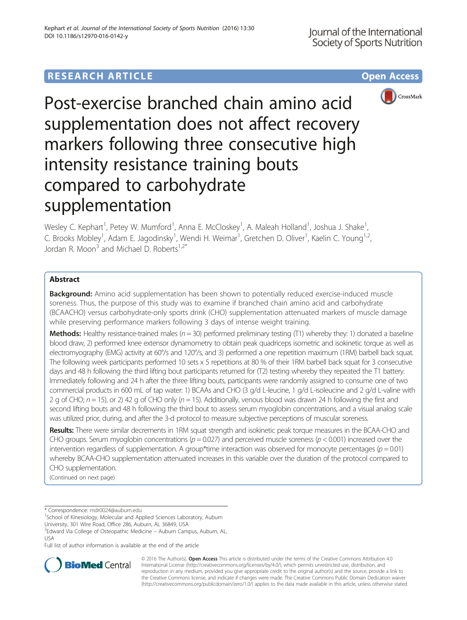# **RESEARCH ARTICLE Example 2014 12:30 The Contract of Contract ACCESS**



Post-exercise branched chain amino acid supplementation does not affect recovery markers following three consecutive high intensity resistance training bouts compared to carbohydrate supplementation

Wesley C. Kephart<sup>1</sup>, Petey W. Mumford<sup>1</sup>, Anna E. McCloskey<sup>1</sup>, A. Maleah Holland<sup>1</sup>, Joshua J. Shake<sup>1</sup> , C. Brooks Mobley<sup>1</sup>, Adam E. Jagodinsky<sup>1</sup>, Wendi H. Weimar<sup>1</sup>, Gretchen D. Oliver<sup>1</sup>, Kaelin C. Young<sup>1,2</sup>, Jordan R. Moon<sup>3</sup> and Michael D. Roberts<sup>1,2\*</sup>

## Abstract

**Background:** Amino acid supplementation has been shown to potentially reduced exercise-induced muscle soreness. Thus, the purpose of this study was to examine if branched chain amino acid and carbohydrate (BCAACHO) versus carbohydrate-only sports drink (CHO) supplementation attenuated markers of muscle damage while preserving performance markers following 3 days of intense weight training.

**Methods:** Healthy resistance-trained males ( $n = 30$ ) performed preliminary testing (T1) whereby they: 1) donated a baseline blood draw, 2) performed knee extensor dynamometry to obtain peak quadriceps isometric and isokinetic torque as well as electromyography (EMG) activity at 60°/s and 120°/s, and 3) performed a one repetition maximum (1RM) barbell back squat. The following week participants performed 10 sets x 5 repetitions at 80 % of their 1RM barbell back squat for 3 consecutive days and 48 h following the third lifting bout participants returned for (T2) testing whereby they repeated the T1 battery. Immediately following and 24 h after the three lifting bouts, participants were randomly assigned to consume one of two commercial products in 600 mL of tap water: 1) BCAAs and CHO (3 g/d L-leucine, 1 g/d L-isoleucine and 2 g/d L-valine with 2 g of CHO;  $n = 15$ ), or 2) 42 g of CHO only ( $n = 15$ ). Additionally, venous blood was drawn 24 h following the first and second lifting bouts and 48 h following the third bout to assess serum myoglobin concentrations, and a visual analog scale was utilized prior, during, and after the 3-d protocol to measure subjective perceptions of muscular soreness.

Results: There were similar decrements in 1RM squat strength and isokinetic peak torque measures in the BCAA-CHO and CHO groups. Serum myoglobin concentrations ( $p = 0.027$ ) and perceived muscle soreness ( $p < 0.001$ ) increased over the intervention regardless of supplementation. A group\*time interaction was observed for monocyte percentages ( $p = 0.01$ ) whereby BCAA-CHO supplementation attenuated increases in this variable over the duration of the protocol compared to CHO supplementation.

(Continued on next page)

\* Correspondence: [mdr0024@auburn.edu](mailto:mdr0024@auburn.edu) <sup>1</sup>

<sup>1</sup>School of Kinesiology, Molecular and Applied Sciences Laboratory, Auburn

University, 301 Wire Road, Office 286, Auburn, AL 36849, USA

<sup>2</sup>Edward Via College of Osteopathic Medicine – Auburn Campus, Auburn, AL, USA

Full list of author information is available at the end of the article



© 2016 The Author(s). Open Access This article is distributed under the terms of the Creative Commons Attribution 4.0 International License [\(http://creativecommons.org/licenses/by/4.0/](http://creativecommons.org/licenses/by/4.0/)), which permits unrestricted use, distribution, and reproduction in any medium, provided you give appropriate credit to the original author(s) and the source, provide a link to the Creative Commons license, and indicate if changes were made. The Creative Commons Public Domain Dedication waiver [\(http://creativecommons.org/publicdomain/zero/1.0/](http://creativecommons.org/publicdomain/zero/1.0/)) applies to the data made available in this article, unless otherwise stated.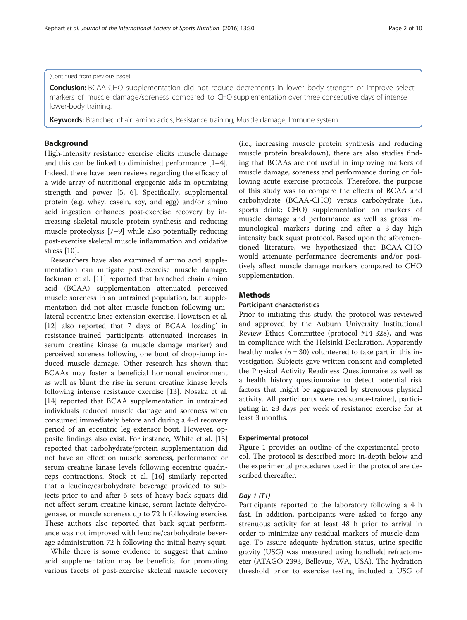## (Continued from previous page)

**Conclusion:** BCAA-CHO supplementation did not reduce decrements in lower body strength or improve select markers of muscle damage/soreness compared to CHO supplementation over three consecutive days of intense lower-body training.

Keywords: Branched chain amino acids, Resistance training, Muscle damage, Immune system

## Background

High-intensity resistance exercise elicits muscle damage and this can be linked to diminished performance [\[1](#page-9-0)–[4](#page-9-0)]. Indeed, there have been reviews regarding the efficacy of a wide array of nutritional ergogenic aids in optimizing strength and power [\[5](#page-9-0), [6\]](#page-9-0). Specifically, supplemental protein (e.g. whey, casein, soy, and egg) and/or amino acid ingestion enhances post-exercise recovery by increasing skeletal muscle protein synthesis and reducing muscle proteolysis [[7](#page-9-0)–[9\]](#page-9-0) while also potentially reducing post-exercise skeletal muscle inflammation and oxidative stress [\[10](#page-9-0)].

Researchers have also examined if amino acid supplementation can mitigate post-exercise muscle damage. Jackman et al. [\[11](#page-9-0)] reported that branched chain amino acid (BCAA) supplementation attenuated perceived muscle soreness in an untrained population, but supplementation did not alter muscle function following unilateral eccentric knee extension exercise. Howatson et al. [[12\]](#page-9-0) also reported that 7 days of BCAA 'loading' in resistance-trained participants attenuated increases in serum creatine kinase (a muscle damage marker) and perceived soreness following one bout of drop-jump induced muscle damage. Other research has shown that BCAAs may foster a beneficial hormonal environment as well as blunt the rise in serum creatine kinase levels following intense resistance exercise [[13\]](#page-9-0). Nosaka et al. [[14\]](#page-9-0) reported that BCAA supplementation in untrained individuals reduced muscle damage and soreness when consumed immediately before and during a 4-d recovery period of an eccentric leg extensor bout. However, opposite findings also exist. For instance, White et al. [[15](#page-9-0)] reported that carbohydrate/protein supplementation did not have an effect on muscle soreness, performance or serum creatine kinase levels following eccentric quadriceps contractions. Stock et al. [\[16\]](#page-9-0) similarly reported that a leucine/carbohydrate beverage provided to subjects prior to and after 6 sets of heavy back squats did not affect serum creatine kinase, serum lactate dehydrogenase, or muscle soreness up to 72 h following exercise. These authors also reported that back squat performance was not improved with leucine/carbohydrate beverage administration 72 h following the initial heavy squat.

While there is some evidence to suggest that amino acid supplementation may be beneficial for promoting various facets of post-exercise skeletal muscle recovery

(i.e., increasing muscle protein synthesis and reducing muscle protein breakdown), there are also studies finding that BCAAs are not useful in improving markers of muscle damage, soreness and performance during or following acute exercise protocols. Therefore, the purpose of this study was to compare the effects of BCAA and carbohydrate (BCAA-CHO) versus carbohydrate (i.e., sports drink; CHO) supplementation on markers of muscle damage and performance as well as gross immunological markers during and after a 3-day high intensity back squat protocol. Based upon the aforementioned literature, we hypothesized that BCAA-CHO would attenuate performance decrements and/or positively affect muscle damage markers compared to CHO supplementation.

## Methods

### Participant characteristics

Prior to initiating this study, the protocol was reviewed and approved by the Auburn University Institutional Review Ethics Committee (protocol #14-328), and was in compliance with the Helsinki Declaration. Apparently healthy males ( $n = 30$ ) volunteered to take part in this investigation. Subjects gave written consent and completed the Physical Activity Readiness Questionnaire as well as a health history questionnaire to detect potential risk factors that might be aggravated by strenuous physical activity. All participants were resistance-trained, participating in ≥3 days per week of resistance exercise for at least 3 months.

### Experimental protocol

Figure [1](#page-2-0) provides an outline of the experimental protocol. The protocol is described more in-depth below and the experimental procedures used in the protocol are described thereafter.

## Day 1 (T1)

Participants reported to the laboratory following a 4 h fast. In addition, participants were asked to forgo any strenuous activity for at least 48 h prior to arrival in order to minimize any residual markers of muscle damage. To assure adequate hydration status, urine specific gravity (USG) was measured using handheld refractometer (ATAGO 2393, Bellevue, WA, USA). The hydration threshold prior to exercise testing included a USG of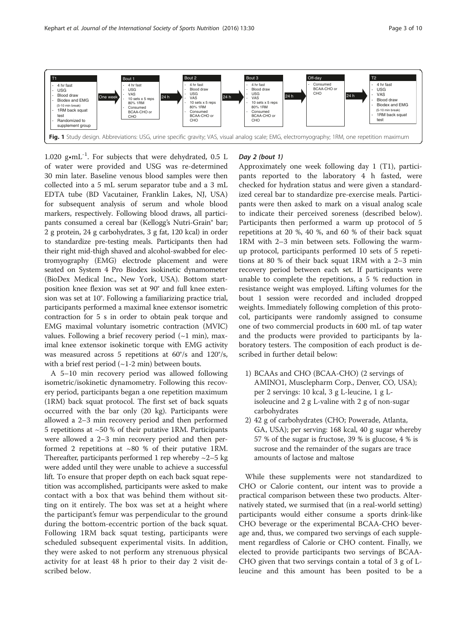<span id="page-2-0"></span>

1.020  $g \cdot mL^{-1}$ . For subjects that were dehydrated, 0.5 L of water were provided and USG was re-determined 30 min later. Baseline venous blood samples were then collected into a 5 mL serum separator tube and a 3 mL EDTA tube (BD Vacutainer, Franklin Lakes, NJ, USA) for subsequent analysis of serum and whole blood markers, respectively. Following blood draws, all participants consumed a cereal bar (Kellogg's Nutri-Grain® bar; 2 g protein, 24 g carbohydrates, 3 g fat, 120 kcal) in order to standardize pre-testing meals. Participants then had their right mid-thigh shaved and alcohol-swabbed for electromyography (EMG) electrode placement and were seated on System 4 Pro Biodex isokinetic dynamometer (BioDex Medical Inc., New York, USA). Bottom startposition knee flexion was set at 90° and full knee extension was set at 10°. Following a familiarizing practice trial, participants performed a maximal knee extensor isometric contraction for 5 s in order to obtain peak torque and EMG maximal voluntary isometric contraction (MVIC) values. Following a brief recovery period  $({\sim}1 \text{ min})$ , maximal knee extensor isokinetic torque with EMG activity was measured across 5 repetitions at 60°/s and 120°/s, with a brief rest period  $(-1-2 \text{ min})$  between bouts.

A 5–10 min recovery period was allowed following isometric/isokinetic dynamometry. Following this recovery period, participants began a one repetition maximum (1RM) back squat protocol. The first set of back squats occurred with the bar only (20 kg). Participants were allowed a 2–3 min recovery period and then performed 5 repetitions at ~50 % of their putative 1RM. Participants were allowed a 2–3 min recovery period and then performed 2 repetitions at ~80 % of their putative 1RM. Thereafter, participants performed 1 rep whereby  $\sim$ 2–5 kg were added until they were unable to achieve a successful lift. To ensure that proper depth on each back squat repetition was accomplished, participants were asked to make contact with a box that was behind them without sitting on it entirely. The box was set at a height where the participant's femur was perpendicular to the ground during the bottom-eccentric portion of the back squat. Following 1RM back squat testing, participants were scheduled subsequent experimental visits. In addition, they were asked to not perform any strenuous physical activity for at least 48 h prior to their day 2 visit described below.

## Day 2 (bout 1)

Approximately one week following day 1 (T1), participants reported to the laboratory 4 h fasted, were checked for hydration status and were given a standardized cereal bar to standardize pre-exercise meals. Participants were then asked to mark on a visual analog scale to indicate their perceived soreness (described below). Participants then performed a warm up protocol of 5 repetitions at 20 %, 40 %, and 60 % of their back squat 1RM with 2–3 min between sets. Following the warmup protocol, participants performed 10 sets of 5 repetitions at 80 % of their back squat 1RM with a 2–3 min recovery period between each set. If participants were unable to complete the repetitions, a 5 % reduction in resistance weight was employed. Lifting volumes for the bout 1 session were recorded and included dropped weights. Immediately following completion of this protocol, participants were randomly assigned to consume one of two commercial products in 600 mL of tap water and the products were provided to participants by laboratory testers. The composition of each product is described in further detail below:

- 1) BCAAs and CHO (BCAA-CHO) (2 servings of AMINO1, Musclepharm Corp., Denver, CO, USA); per 2 servings: 10 kcal, 3 g L-leucine, 1 g Lisoleucine and 2 g L-valine with 2 g of non-sugar carbohydrates
- 2) 42 g of carbohydrates (CHO; Powerade, Atlanta, GA, USA); per serving: 168 kcal, 40 g sugar whereby 57 % of the sugar is fructose, 39 % is glucose, 4 % is sucrose and the remainder of the sugars are trace amounts of lactose and maltose

While these supplements were not standardized to CHO or Calorie content, our intent was to provide a practical comparison between these two products. Alternatively stated, we surmised that (in a real-world setting) participants would either consume a sports drink-like CHO beverage or the experimental BCAA-CHO beverage and, thus, we compared two servings of each supplement regardless of Calorie or CHO content. Finally, we elected to provide participants two servings of BCAA-CHO given that two servings contain a total of 3 g of Lleucine and this amount has been posited to be a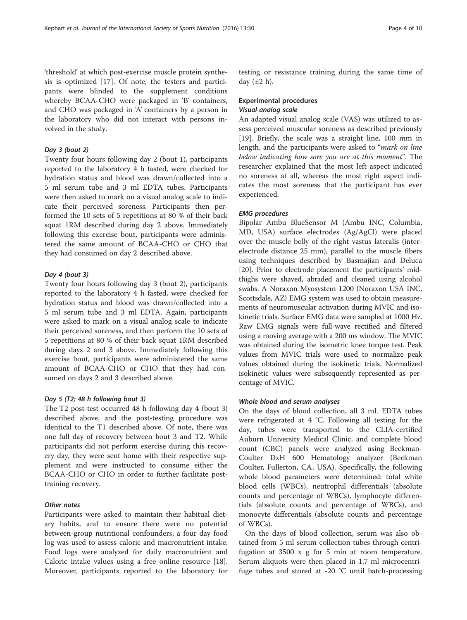'threshold' at which post-exercise muscle protein synthesis is optimized [[17](#page-9-0)]. Of note, the testers and participants were blinded to the supplement conditions whereby BCAA-CHO were packaged in 'B' containers, and CHO was packaged in 'A' containers by a person in the laboratory who did not interact with persons involved in the study.

## Day 3 (bout 2)

Twenty four hours following day 2 (bout 1), participants reported to the laboratory 4 h fasted, were checked for hydration status and blood was drawn/collected into a 5 ml serum tube and 3 ml EDTA tubes. Participants were then asked to mark on a visual analog scale to indicate their perceived soreness. Participants then performed the 10 sets of 5 repetitions at 80 % of their back squat 1RM described during day 2 above. Immediately following this exercise bout, participants were administered the same amount of BCAA-CHO or CHO that they had consumed on day 2 described above.

### Day 4 (bout 3)

Twenty four hours following day 3 (bout 2), participants reported to the laboratory 4 h fasted, were checked for hydration status and blood was drawn/collected into a 5 ml serum tube and 3 ml EDTA. Again, participants were asked to mark on a visual analog scale to indicate their perceived soreness, and then perform the 10 sets of 5 repetitions at 80 % of their back squat 1RM described during days 2 and 3 above. Immediately following this exercise bout, participants were administered the same amount of BCAA-CHO or CHO that they had consumed on days 2 and 3 described above.

### Day 5 (T2; 48 h following bout 3)

The T2 post-test occurred 48 h following day 4 (bout 3) described above, and the post-testing procedure was identical to the T1 described above. Of note, there was one full day of recovery between bout 3 and T2. While participants did not perform exercise during this recovery day, they were sent home with their respective supplement and were instructed to consume either the BCAA-CHO or CHO in order to further facilitate posttraining recovery.

## Other notes

Participants were asked to maintain their habitual dietary habits, and to ensure there were no potential between-group nutritional confounders, a four day food log was used to assess caloric and macronutrient intake. Food logs were analyzed for daily macronutrient and Caloric intake values using a free online resource [\[18](#page-9-0)]. Moreover, participants reported to the laboratory for

testing or resistance training during the same time of day  $(\pm 2 \text{ h})$ .

## Experimental procedures Visual analog scale

An adapted visual analog scale (VAS) was utilized to assess perceived muscular soreness as described previously [[19\]](#page-9-0). Briefly, the scale was a straight line, 100 mm in length, and the participants were asked to "mark on line below indicating how sore you are at this moment". The researcher explained that the most left aspect indicated no soreness at all, whereas the most right aspect indicates the most soreness that the participant has ever experienced.

## EMG procedures

Bipolar Ambu BlueSensor M (Ambu INC, Columbia, MD, USA) surface electrodes (Ag/AgCl) were placed over the muscle belly of the right vastus lateralis (interelectrode distance 25 mm), parallel to the muscle fibers using techniques described by Basmajian and Deluca [[20\]](#page-9-0). Prior to electrode placement the participants' midthighs were shaved, abraded and cleaned using alcohol swabs. A Noraxon Myosystem 1200 (Noraxon USA INC, Scottsdale, AZ) EMG system was used to obtain measurements of neuromuscular activation during MVIC and isokinetic trials. Surface EMG data were sampled at 1000 Hz. Raw EMG signals were full-wave rectified and filtered using a moving average with a 200 ms window. The MVIC was obtained during the isometric knee torque test. Peak values from MVIC trials were used to normalize peak values obtained during the isokinetic trials. Normalized isokinetic values were subsequently represented as percentage of MVIC.

## Whole blood and serum analyses

On the days of blood collection, all 3 mL EDTA tubes were refrigerated at 4 °C. Following all testing for the day, tubes were transported to the CLIA-certified Auburn University Medical Clinic, and complete blood count (CBC) panels were analyzed using Beckman-Coulter DxH 600 Hematology analyzer (Beckman Coulter, Fullerton, CA, USA). Specifically, the following whole blood parameters were determined: total white blood cells (WBCs), neutrophil differentials (absolute counts and percentage of WBCs), lymphocyte differentials (absolute counts and percentage of WBCs), and monocyte differentials (absolute counts and percentage of WBCs).

On the days of blood collection, serum was also obtained from 5 ml serum collection tubes through centrifugation at 3500 x g for 5 min at room temperature. Serum aliquots were then placed in 1.7 ml microcentrifuge tubes and stored at -20 °C until batch-processing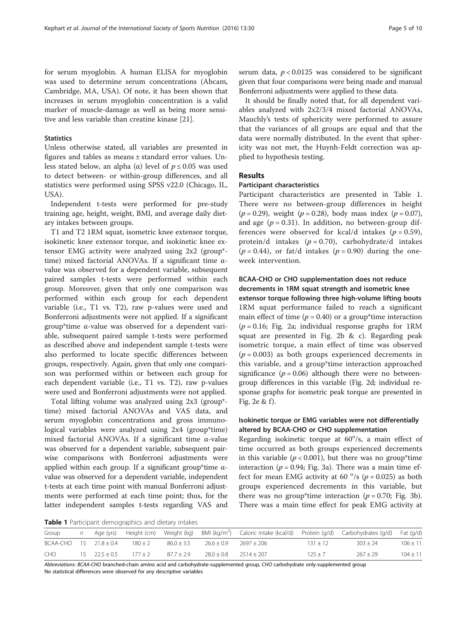for serum myoglobin. A human ELISA for myoglobin was used to determine serum concentrations (Abcam, Cambridge, MA, USA). Of note, it has been shown that increases in serum myoglobin concentration is a valid marker of muscle-damage as well as being more sensitive and less variable than creatine kinase [\[21](#page-9-0)].

## **Statistics**

Unless otherwise stated, all variables are presented in figures and tables as means ± standard error values. Unless stated below, an alpha (α) level of  $p ≤ 0.05$  was used to detect between- or within-group differences, and all statistics were performed using SPSS v22.0 (Chicago, IL, USA).

Independent t-tests were performed for pre-study training age, height, weight, BMI, and average daily dietary intakes between groups.

T1 and T2 1RM squat, isometric knee extensor torque, isokinetic knee extensor torque, and isokinetic knee extensor EMG activity were analyzed using 2x2 (group\* time) mixed factorial ANOVAs. If a significant time αvalue was observed for a dependent variable, subsequent paired samples t-tests were performed within each group. Moreover, given that only one comparison was performed within each group for each dependent variable (i.e., T1 vs. T2), raw p-values were used and Bonferroni adjustments were not applied. If a significant group\*time α-value was observed for a dependent variable, subsequent paired sample t-tests were performed as described above and independent sample t-tests were also performed to locate specific differences between groups, respectively. Again, given that only one comparison was performed within or between each group for each dependent variable (i.e., T1 vs. T2), raw p-values were used and Bonferroni adjustments were not applied.

Total lifting volume was analyzed using 2x3 (group\* time) mixed factorial ANOVAs and VAS data, and serum myoglobin concentrations and gross immunological variables were analyzed using 2x4 (group\*time) mixed factorial ANOVAs. If a significant time α-value was observed for a dependent variable, subsequent pairwise comparisons with Bonferroni adjustments were applied within each group. If a significant group\*time  $\alpha$ value was observed for a dependent variable, independent t-tests at each time point with manual Bonferroni adjustments were performed at each time point; thus, for the latter independent samples t-tests regarding VAS and serum data,  $p < 0.0125$  was considered to be significant given that four comparisons were being made and manual Bonferroni adjustments were applied to these data.

It should be finally noted that, for all dependent variables analyzed with 2x2/3/4 mixed factorial ANOVAs, Mauchly's tests of sphericity were performed to assure that the variances of all groups are equal and that the data were normally distributed. In the event that sphericity was not met, the Huynh-Feldt correction was applied to hypothesis testing.

## Results

## Participant characteristics

Participant characteristics are presented in Table 1. There were no between-group differences in height  $(p = 0.29)$ , weight  $(p = 0.28)$ , body mass index  $(p = 0.07)$ , and age ( $p = 0.31$ ). In addition, no between-group differences were observed for kcal/d intakes  $(p = 0.59)$ , protein/d intakes  $(p = 0.70)$ , carbohydrate/d intakes  $(p = 0.44)$ , or fat/d intakes  $(p = 0.90)$  during the oneweek intervention.

## BCAA-CHO or CHO supplementation does not reduce decrements in 1RM squat strength and isometric knee

extensor torque following three high-volume lifting bouts 1RM squat performance failed to reach a significant main effect of time  $(p = 0.40)$  or a group\*time interaction  $(p = 0.16;$  Fig. [2a;](#page-5-0) individual response graphs for 1RM squat are presented in Fig. [2b](#page-5-0) & [c\)](#page-5-0). Regarding peak isometric torque, a main effect of time was observed  $(p = 0.003)$  as both groups experienced decrements in this variable, and a group\*time interaction approached significance ( $p = 0.06$ ) although there were no betweengroup differences in this variable (Fig. [2d](#page-5-0); individual response graphs for isometric peak torque are presented in Fig. [2e](#page-5-0) & [f](#page-5-0) ).

## Isokinetic torque or EMG variables were not differentially altered by BCAA-CHO or CHO supplementation

Regarding isokinetic torque at  $60^{\circ}/s$ , a main effect of time occurred as both groups experienced decrements in this variable ( $p < 0.001$ ), but there was no group\*time interaction ( $p = 0.94$ ; Fig. [3a\)](#page-6-0). There was a main time effect for mean EMG activity at 60  $\degree$ /s (p = 0.025) as both groups experienced decrements in this variable, but there was no group\*time interaction ( $p = 0.70$ ; Fig. [3b](#page-6-0)). There was a main time effect for peak EMG activity at

Table 1 Participant demographics and dietary intakes

| Group                        | n |                      |             |                | Age (yrs) Height (cm) Weight (kg) BMI (kg/m <sup>2</sup> ) Caloric intake (kcal/d) Protein (g/d) Carbohydrates (g/d) Fat (g/d) |             |              |              |
|------------------------------|---|----------------------|-------------|----------------|--------------------------------------------------------------------------------------------------------------------------------|-------------|--------------|--------------|
|                              |   |                      |             |                |                                                                                                                                |             |              |              |
| $BCAA-CHO$ 15 $21.8 \pm 0.4$ |   |                      | $180 + 2$   | $86.0 \pm 3.5$ | $26.6 \pm 0.9$ $2697 \pm 206$                                                                                                  | $131 + 12$  | $303 + 24$   | $106 \pm 11$ |
| <b>CHO</b>                   |   | $15 \t 22.5 \pm 0.5$ | $177 \pm 2$ | $87.7 \pm 2.9$ | $28.0 \pm 0.8$ $2514 \pm 207$                                                                                                  | $125 \pm 7$ | $267 \pm 29$ | $104 \pm 11$ |

Abbreviations: BCAA-CHO branched-chain amino acid and carbohydrate-supplemented group, CHO carbohydrate only-supplemented group No statistical differences were observed for any descriptive variables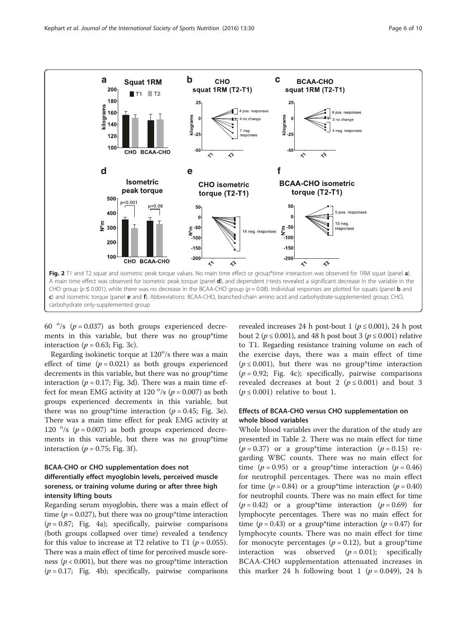<span id="page-5-0"></span>

60  $\degree$ /s (p = 0.037) as both groups experienced decrements in this variable, but there was no group\*time interaction ( $p = 0.63$ ; Fig. [3c\)](#page-6-0).

Regarding isokinetic torque at 120°/s there was a main effect of time  $(p = 0.021)$  as both groups experienced decrements in this variable, but there was no group\*time interaction ( $p = 0.17$ ; Fig. [3d](#page-6-0)). There was a main time effect for mean EMG activity at  $120^{\circ}/s$  ( $p = 0.007$ ) as both groups experienced decrements in this variable, but there was no group\*time interaction ( $p = 0.45$ ; Fig. [3e](#page-6-0)). There was a main time effect for peak EMG activity at 120  $\degree$ /s (p = 0.007) as both groups experienced decrements in this variable, but there was no group\*time interaction ( $p = 0.75$ ; Fig. [3f](#page-6-0)).

## BCAA-CHO or CHO supplementation does not differentially effect myoglobin levels, perceived muscle soreness, or training volume during or after three high intensity lifting bouts

Regarding serum myoglobin, there was a main effect of time ( $p = 0.027$ ), but there was no group\*time interaction  $(p = 0.87;$  Fig. [4a\)](#page-6-0); specifically, pairwise comparisons (both groups collapsed over time) revealed a tendency for this value to increase at T2 relative to T1 ( $p = 0.055$ ). There was a main effect of time for perceived muscle soreness ( $p < 0.001$ ), but there was no group\*time interaction  $(p = 0.17;$  Fig. [4b\)](#page-6-0); specifically, pairwise comparisons

revealed increases 24 h post-bout 1 ( $p \le 0.001$ ), 24 h post bout 2 ( $p \le 0.001$ ), and 48 h post bout 3 ( $p \le 0.001$ ) relative to T1. Regarding resistance training volume on each of the exercise days, there was a main effect of time  $(p \le 0.001)$ , but there was no group\*time interaction  $(p = 0.92;$  Fig. [4c\)](#page-6-0); specifically, pairwise comparisons revealed decreases at bout 2 ( $p \le 0.001$ ) and bout 3  $(p \le 0.001)$  relative to bout 1.

## Effects of BCAA-CHO versus CHO supplementation on whole blood variables

Whole blood variables over the duration of the study are presented in Table [2.](#page-7-0) There was no main effect for time  $(p = 0.37)$  or a group\*time interaction  $(p = 0.15)$  regarding WBC counts. There was no main effect for time ( $p = 0.95$ ) or a group\*time interaction ( $p = 0.46$ ) for neutrophil percentages. There was no main effect for time ( $p = 0.84$ ) or a group\*time interaction ( $p = 0.40$ ) for neutrophil counts. There was no main effect for time  $(p = 0.42)$  or a group<sup>\*</sup>time interaction  $(p = 0.69)$  for lymphocyte percentages. There was no main effect for time ( $p = 0.43$ ) or a group\*time interaction ( $p = 0.47$ ) for lymphocyte counts. There was no main effect for time for monocyte percentages ( $p = 0.12$ ), but a group\*time interaction was observed  $(p = 0.01)$ ; specifically BCAA-CHO supplementation attenuated increases in this marker 24 h following bout 1 ( $p = 0.049$ ), 24 h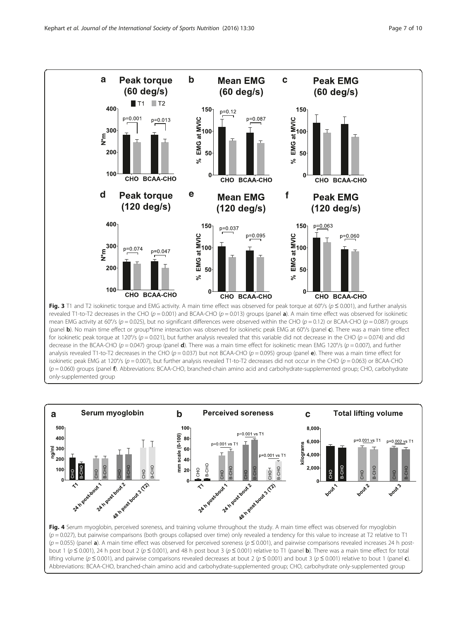<span id="page-6-0"></span>

(panel b). No main time effect or group\*time interaction was observed for isokinetic peak EMG at 60°/s (panel c). There was a main time effect for isokinetic peak torque at 120°/s (p = 0.021), but further analysis revealed that this variable did not decrease in the CHO (p = 0.074) and did decrease in the BCAA-CHO ( $p = 0.047$ ) group (panel **d**). There was a main time effect for isokinetic mean EMG 120°/s ( $p = 0.007$ ), and further analysis revealed T1-to-T2 decreases in the CHO ( $p = 0.037$ ) but not BCAA-CHO ( $p = 0.095$ ) group (panel e). There was a main time effect for isokinetic peak EMG at 120°/s ( $p = 0.007$ ), but further analysis revealed T1-to-T2 decreases did not occur in the CHO ( $p = 0.063$ ) or BCAA-CHO  $(p = 0.060)$  groups (panel f). Abbreviations: BCAA-CHO, branched-chain amino acid and carbohydrate-supplemented group; CHO, carbohydrate only-supplemented group



 $(p = 0.027)$ , but pairwise comparisons (both groups collapsed over time) only revealed a tendency for this value to increase at T2 relative to T1  $(p = 0.055)$  (panel a). A main time effect was observed for perceived soreness ( $p \le 0.001$ ), and pairwise comparisons revealed increases 24 h postbout 1 ( $p \le 0.001$ ), 24 h post bout 2 ( $p \le 0.001$ ), and 48 h post bout 3 ( $p \le 0.001$ ) relative to T1 (panel **b**). There was a main time effect for total lifting volume ( $p \le 0.001$ ), and pairwise comparisons revealed decreases at bout 2 ( $p \le 0.001$ ) and bout 3 ( $p \le 0.001$ ) relative to bout 1 (panel c). Abbreviations: BCAA-CHO, branched-chain amino acid and carbohydrate-supplemented group; CHO, carbohydrate only-supplemented group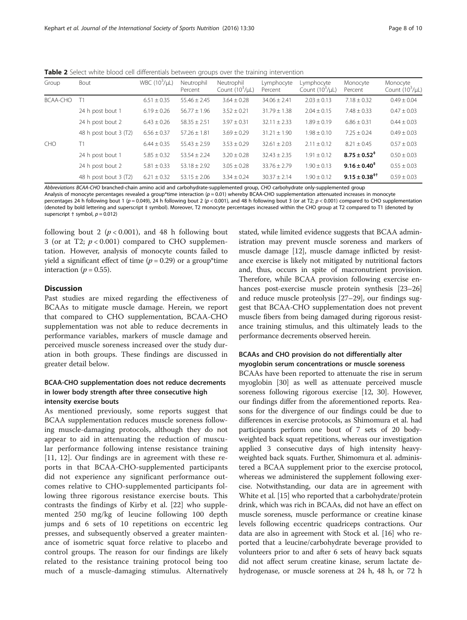<span id="page-7-0"></span>Table 2 Select white blood cell differentials between groups over the training intervention

| Group           | Bout                  | WBC $(10^3/\mu L)$ | Neutrophil<br>Percent | Neutrophil<br>Count $(10^3/\mu L)$ | Lymphocyte<br>Percent | Lymphocyte<br>Count $(10^3/\mu L)$ | Monocyte<br>Percent        | Monocyte<br>Count $(10^3/\mu L)$ |
|-----------------|-----------------------|--------------------|-----------------------|------------------------------------|-----------------------|------------------------------------|----------------------------|----------------------------------|
| <b>BCAA-CHO</b> |                       | $6.51 \pm 0.35$    | $55.46 \pm 2.45$      | $3.64 \pm 0.28$                    | $34.06 \pm 2.41$      | $2.03 \pm 0.13$                    | $7.18 \pm 0.32$            | $0.49 \pm 0.04$                  |
|                 | 24 h post bout 1      | $6.19 \pm 0.26$    | $56.77 \pm 1.96$      | $3.52 \pm 0.21$                    | $31.79 \pm 1.38$      | $2.04 + 0.15$                      | $7.48 \pm 0.33$            | $0.47 \pm 0.03$                  |
|                 | 24 h post bout 2      | $6.43 \pm 0.26$    | $58.35 \pm 2.51$      | $3.97 \pm 0.31$                    | $32.11 \pm 2.33$      | $1.89 + 0.19$                      | $6.86 \pm 0.31$            | $0.44 \pm 0.03$                  |
|                 | 48 h post bout 3 (T2) | $6.56 \pm 0.37$    | $57.26 \pm 1.81$      | $3.69 \pm 0.29$                    | $31.21 \pm 1.90$      | $1.98 \pm 0.10$                    | $7.25 \pm 0.24$            | $0.49 \pm 0.03$                  |
| <b>CHO</b>      |                       | $6.44 \pm 0.35$    | $55.43 \pm 2.59$      | $3.53 \pm 0.29$                    | $32.61 \pm 2.03$      | $2.11 \pm 0.12$                    | $8.21 \pm 0.45$            | $0.57 \pm 0.03$                  |
|                 | 24 h post bout 1      | $5.85 \pm 0.32$    | $53.54 \pm 2.24$      | $3.20 \pm 0.28$                    | $32.43 \pm 2.35$      | $1.91 \pm 0.12$                    | $8.75 \pm 0.52^*$          | $0.50 \pm 0.03$                  |
|                 | 24 h post bout 2      | $5.81 \pm 0.33$    | $53.18 \pm 2.92$      | $3.05 \pm 0.28$                    | $33.76 \pm 2.79$      | $1.90 \pm 0.13$                    | $9.16 \pm 0.40^{\ddagger}$ | $0.55 \pm 0.03$                  |
|                 | 48 h post bout 3 (T2) | $6.21 \pm 0.32$    | $53.15 \pm 2.06$      | $3.34 \pm 0.24$                    | $30.37 \pm 2.14$      | $1.90 + 0.12$                      | $9.15 \pm 0.38^{+1}$       | $0.59 \pm 0.03$                  |

Abbreviations BCAA-CHO branched-chain amino acid and carbohydrate-supplemented group, CHO carbohydrate only-supplemented group

Analysis of monocyte percentages revealed a group\*time interaction ( $p = 0.01$ ) whereby BCAA-CHO supplementation attenuated increases in monocyte percentages 24 h following bout 1 (p = 0.049), 24 h following bout 2 (p < 0.001), and 48 h following bout 3 (or at T2; p < 0.001) compared to CHO supplementation (denoted by bold lettering and superscript ‡ symbol). Moreover, T2 monocyte percentages increased within the CHO group at T2 compared to T1 (denoted by superscript  $\dagger$  symbol,  $p = 0.012$ )

following bout 2 ( $p < 0.001$ ), and 48 h following bout 3 (or at T2;  $p < 0.001$ ) compared to CHO supplementation. However, analysis of monocyte counts failed to yield a significant effect of time ( $p = 0.29$ ) or a group\*time interaction ( $p = 0.55$ ).

## Discussion

Past studies are mixed regarding the effectiveness of BCAAs to mitigate muscle damage. Herein, we report that compared to CHO supplementation, BCAA-CHO supplementation was not able to reduce decrements in performance variables, markers of muscle damage and perceived muscle soreness increased over the study duration in both groups. These findings are discussed in greater detail below.

## BCAA-CHO supplementation does not reduce decrements in lower body strength after three consecutive high intensity exercise bouts

As mentioned previously, some reports suggest that BCAA supplementation reduces muscle soreness following muscle-damaging protocols, although they do not appear to aid in attenuating the reduction of muscular performance following intense resistance training [[11, 12](#page-9-0)]. Our findings are in agreement with these reports in that BCAA-CHO-supplemented participants did not experience any significant performance outcomes relative to CHO-supplemented participants following three rigorous resistance exercise bouts. This contrasts the findings of Kirby et al. [[22\]](#page-9-0) who supplemented 250 mg/kg of leucine following 100 depth jumps and 6 sets of 10 repetitions on eccentric leg presses, and subsequently observed a greater maintenance of isometric squat force relative to placebo and control groups. The reason for our findings are likely related to the resistance training protocol being too much of a muscle-damaging stimulus. Alternatively stated, while limited evidence suggests that BCAA administration may prevent muscle soreness and markers of muscle damage [\[12\]](#page-9-0), muscle damage inflicted by resistance exercise is likely not mitigated by nutritional factors and, thus, occurs in spite of macronutrient provision. Therefore, while BCAA provision following exercise en-hances post-exercise muscle protein synthesis [\[23](#page-9-0)–[26](#page-9-0)] and reduce muscle proteolysis [[27](#page-9-0)–[29\]](#page-9-0), our findings suggest that BCAA-CHO supplementation does not prevent muscle fibers from being damaged during rigorous resistance training stimulus, and this ultimately leads to the performance decrements observed herein.

## BCAAs and CHO provision do not differentially alter myoglobin serum concentrations or muscle soreness

BCAAs have been reported to attenuate the rise in serum myoglobin [\[30\]](#page-9-0) as well as attenuate perceived muscle soreness following rigorous exercise [\[12, 30\]](#page-9-0). However, our findings differ from the aforementioned reports. Reasons for the divergence of our findings could be due to differences in exercise protocols, as Shimomura et al. had participants perform one bout of 7 sets of 20 bodyweighted back squat repetitions, whereas our investigation applied 3 consecutive days of high intensity heavyweighted back squats. Further, Shimomura et al. administered a BCAA supplement prior to the exercise protocol, whereas we administered the supplement following exercise. Notwithstanding, our data are in agreement with White et al. [[15](#page-9-0)] who reported that a carbohydrate/protein drink, which was rich in BCAAs, did not have an effect on muscle soreness, muscle performance or creatine kinase levels following eccentric quadriceps contractions. Our data are also in agreement with Stock et al. [\[16\]](#page-9-0) who reported that a leucine/carbohydrate beverage provided to volunteers prior to and after 6 sets of heavy back squats did not affect serum creatine kinase, serum lactate dehydrogenase, or muscle soreness at 24 h, 48 h, or 72 h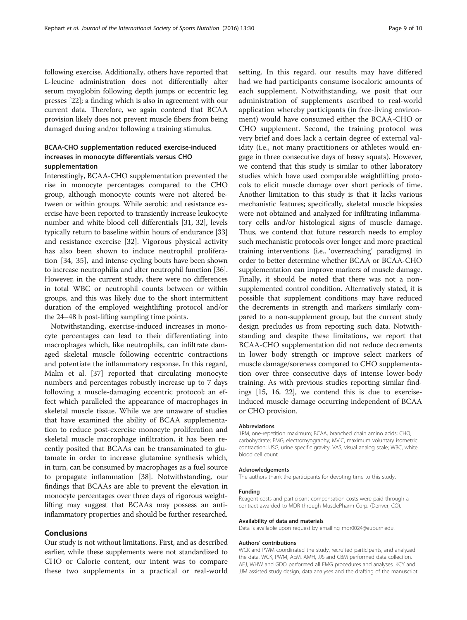following exercise. Additionally, others have reported that L-leucine administration does not differentially alter serum myoglobin following depth jumps or eccentric leg presses [\[22\]](#page-9-0); a finding which is also in agreement with our current data. Therefore, we again contend that BCAA provision likely does not prevent muscle fibers from being damaged during and/or following a training stimulus.

## BCAA-CHO supplementation reduced exercise-induced increases in monocyte differentials versus CHO supplementation

Interestingly, BCAA-CHO supplementation prevented the rise in monocyte percentages compared to the CHO group, although monocyte counts were not altered between or within groups. While aerobic and resistance exercise have been reported to transiently increase leukocyte number and white blood cell differentials [\[31](#page-9-0), [32\]](#page-9-0), levels typically return to baseline within hours of endurance [[33](#page-9-0)] and resistance exercise [[32\]](#page-9-0). Vigorous physical activity has also been shown to induce neutrophil proliferation [[34, 35](#page-9-0)], and intense cycling bouts have been shown to increase neutrophilia and alter neutrophil function [[36](#page-9-0)]. However, in the current study, there were no differences in total WBC or neutrophil counts between or within groups, and this was likely due to the short intermittent duration of the employed weightlifting protocol and/or the 24–48 h post-lifting sampling time points.

Notwithstanding, exercise-induced increases in monocyte percentages can lead to their differentiating into macrophages which, like neutrophils, can infiltrate damaged skeletal muscle following eccentric contractions and potentiate the inflammatory response. In this regard, Malm et al. [[37\]](#page-9-0) reported that circulating monocyte numbers and percentages robustly increase up to 7 days following a muscle-damaging eccentric protocol; an effect which paralleled the appearance of macrophages in skeletal muscle tissue. While we are unaware of studies that have examined the ability of BCAA supplementation to reduce post-exercise monocyte proliferation and skeletal muscle macrophage infiltration, it has been recently posited that BCAAs can be transaminated to glutamate in order to increase glutamine synthesis which, in turn, can be consumed by macrophages as a fuel source to propagate inflammation [\[38\]](#page-9-0). Notwithstanding, our findings that BCAAs are able to prevent the elevation in monocyte percentages over three days of rigorous weightlifting may suggest that BCAAs may possess an antiinflammatory properties and should be further researched.

## Conclusions

Our study is not without limitations. First, and as described earlier, while these supplements were not standardized to CHO or Calorie content, our intent was to compare these two supplements in a practical or real-world setting. In this regard, our results may have differed had we had participants consume isocaloric amounts of each supplement. Notwithstanding, we posit that our administration of supplements ascribed to real-world application whereby participants (in free-living environment) would have consumed either the BCAA-CHO or CHO supplement. Second, the training protocol was very brief and does lack a certain degree of external validity (i.e., not many practitioners or athletes would engage in three consecutive days of heavy squats). However, we contend that this study is similar to other laboratory studies which have used comparable weightlifting protocols to elicit muscle damage over short periods of time. Another limitation to this study is that it lacks various mechanistic features; specifically, skeletal muscle biopsies were not obtained and analyzed for infiltrating inflammatory cells and/or histological signs of muscle damage. Thus, we contend that future research needs to employ such mechanistic protocols over longer and more practical training interventions (i.e., 'overreaching' paradigms) in order to better determine whether BCAA or BCAA-CHO supplementation can improve markers of muscle damage. Finally, it should be noted that there was not a nonsupplemented control condition. Alternatively stated, it is possible that supplement conditions may have reduced the decrements in strength and markers similarly compared to a non-supplement group, but the current study design precludes us from reporting such data. Notwithstanding and despite these limitations, we report that BCAA-CHO supplementation did not reduce decrements in lower body strength or improve select markers of muscle damage/soreness compared to CHO supplementation over three consecutive days of intense lower-body training. As with previous studies reporting similar findings [\[15, 16](#page-9-0), [22](#page-9-0)], we contend this is due to exerciseinduced muscle damage occurring independent of BCAA or CHO provision.

#### Abbreviations

1RM, one-repetition maximum; BCAA, branched chain amino acids; CHO, carbohydrate; EMG, electromyography; MVIC, maximum voluntary isometric contraction; USG, urine specific gravity; VAS, visual analog scale; WBC, white blood cell count

#### Acknowledgements

The authors thank the participants for devoting time to this study.

#### Funding

Reagent costs and participant compensation costs were paid through a contract awarded to MDR through MusclePharm Corp. (Denver, CO).

#### Availability of data and materials

Data is available upon request by emailing mdr0024@auburn.edu.

#### Authors' contributions

WCK and PWM coordinated the study, recruited participants, and analyzed the data. WCK, PWM, AEM, AMH, JJS and CBM performed data collection. AEJ, WHW and GDO performed all EMG procedures and analyses. KCY and JJM assisted study design, data analyses and the drafting of the manuscript.